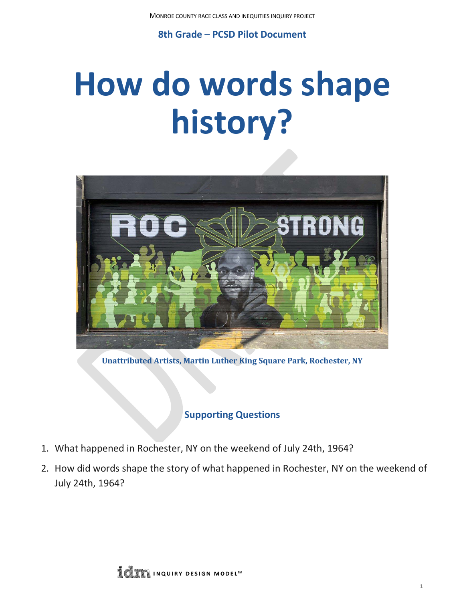**8th Grade – PCSD Pilot Document**

# **How do words shape history?**



**Unattributed Artists, Martin Luther King Square Park, Rochester, NY**

## **Supporting Questions**

- 1. What happened in Rochester, NY on the weekend of July 24th, 1964?
- 2. How did words shape the story of what happened in Rochester, NY on the weekend of July 24th, 1964?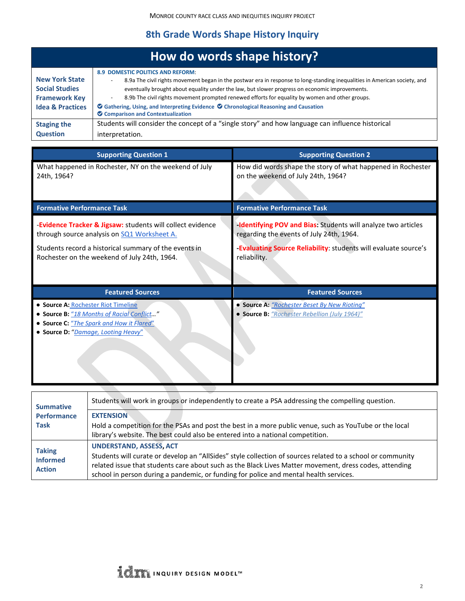# **8th Grade Words Shape History Inquiry**

|                                                                                                       | How do words shape history?                                                                                                                                                                                                                                                                                                                                                                                                                                                                                                                          |
|-------------------------------------------------------------------------------------------------------|------------------------------------------------------------------------------------------------------------------------------------------------------------------------------------------------------------------------------------------------------------------------------------------------------------------------------------------------------------------------------------------------------------------------------------------------------------------------------------------------------------------------------------------------------|
| <b>New York State</b><br><b>Social Studies</b><br><b>Framework Key</b><br><b>Idea &amp; Practices</b> | <b>8.9 DOMESTIC POLITICS AND REFORM:</b><br>8.9a The civil rights movement began in the postwar era in response to long-standing inequalities in American society, and<br>eventually brought about equality under the law, but slower progress on economic improvements.<br>8.9b The civil rights movement prompted renewed efforts for equality by women and other groups.<br>$\overline{\phantom{a}}$<br>$\bullet$ Gathering, Using, and Interpreting Evidence $\bullet$ Chronological Reasoning and Causation<br>Comparison and Contextualization |
| <b>Staging the</b><br><b>Question</b>                                                                 | Students will consider the concept of a "single story" and how language can influence historical<br>interpretation.                                                                                                                                                                                                                                                                                                                                                                                                                                  |

| <b>Supporting Question 1</b>                                                                                                                                                                                       |                                                                                                                                                            | <b>Supporting Question 2</b>                                                                                                                                                                       |  |  |
|--------------------------------------------------------------------------------------------------------------------------------------------------------------------------------------------------------------------|------------------------------------------------------------------------------------------------------------------------------------------------------------|----------------------------------------------------------------------------------------------------------------------------------------------------------------------------------------------------|--|--|
| 24th, 1964?                                                                                                                                                                                                        | What happened in Rochester, NY on the weekend of July<br>How did words shape the story of what happened in Rochester<br>on the weekend of July 24th, 1964? |                                                                                                                                                                                                    |  |  |
| <b>Formative Performance Task</b>                                                                                                                                                                                  |                                                                                                                                                            | <b>Formative Performance Task</b>                                                                                                                                                                  |  |  |
| -Evidence Tracker & Jigsaw: students will collect evidence<br>through source analysis on SQ1 Worksheet A.<br>Students record a historical summary of the events in<br>Rochester on the weekend of July 24th, 1964. |                                                                                                                                                            | <b>Identifying POV and Bias: Students will analyze two articles</b><br>regarding the events of July 24th, 1964.<br>-Evaluating Source Reliability: students will evaluate source's<br>reliability. |  |  |
|                                                                                                                                                                                                                    |                                                                                                                                                            |                                                                                                                                                                                                    |  |  |
|                                                                                                                                                                                                                    | <b>Featured Sources</b>                                                                                                                                    | <b>Featured Sources</b>                                                                                                                                                                            |  |  |
| • Source A: Rochester Riot Timeline                                                                                                                                                                                | • Source B: "18 Months of Racial Conflict"<br>• Source C: "The Spark and How it Flared"<br>• Source D: "Damage, Looting Heavy"                             | • Source A: "Rochester Beset By New Rioting"<br>• Source B: "Rochester Rebellion (July 1964)"                                                                                                      |  |  |
|                                                                                                                                                                                                                    |                                                                                                                                                            |                                                                                                                                                                                                    |  |  |
| <b>Summative</b>                                                                                                                                                                                                   |                                                                                                                                                            | Students will work in groups or independently to create a PSA addressing the compelling question.                                                                                                  |  |  |

| <b>Summative</b>                                  |                                                                                                            |
|---------------------------------------------------|------------------------------------------------------------------------------------------------------------|
| <b>Performance</b>                                | <b>EXTENSION</b>                                                                                           |
| <b>Task</b>                                       | Hold a competition for the PSAs and post the best in a more public venue, such as YouTube or the local     |
|                                                   | library's website. The best could also be entered into a national competition.                             |
| <b>Taking</b><br><b>Informed</b><br><b>Action</b> | <b>UNDERSTAND, ASSESS, ACT</b>                                                                             |
|                                                   | Students will curate or develop an "AllSides" style collection of sources related to a school or community |
|                                                   | related issue that students care about such as the Black Lives Matter movement, dress codes, attending     |
|                                                   | school in person during a pandemic, or funding for police and mental health services.                      |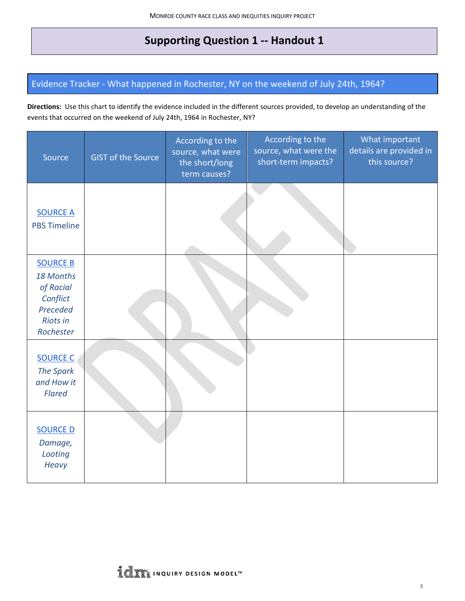# **Supporting Question 1 -- Handout 1**

## <span id="page-2-0"></span>Evidence Tracker - What happened in Rochester, NY on the weekend of July 24th, 1964?

**Directions:** Use this chart to identify the evidence included in the different sources provided, to develop an understanding of the events that occurred on the weekend of July 24th, 1964 in Rochester, NY?

| Source                                                                                            | <b>GIST of the Source</b> | According to the<br>source, what were<br>the short/long<br>term causes? | According to the<br>source, what were the<br>short-term impacts? | What important<br>details are provided in<br>this source? |
|---------------------------------------------------------------------------------------------------|---------------------------|-------------------------------------------------------------------------|------------------------------------------------------------------|-----------------------------------------------------------|
| <b>SOURCE A</b><br><b>PBS Timeline</b>                                                            |                           |                                                                         |                                                                  |                                                           |
| <b>SOURCE B</b><br>18 Months<br>of Racial<br>Conflict<br>Preceded<br><b>Riots in</b><br>Rochester |                           |                                                                         |                                                                  |                                                           |
| <b>SOURCE C</b><br><b>The Spark</b><br>and How it<br><b>Flared</b>                                |                           |                                                                         |                                                                  |                                                           |
| <b>SOURCE D</b><br>Damage,<br>Looting<br><b>Heavy</b>                                             |                           |                                                                         |                                                                  |                                                           |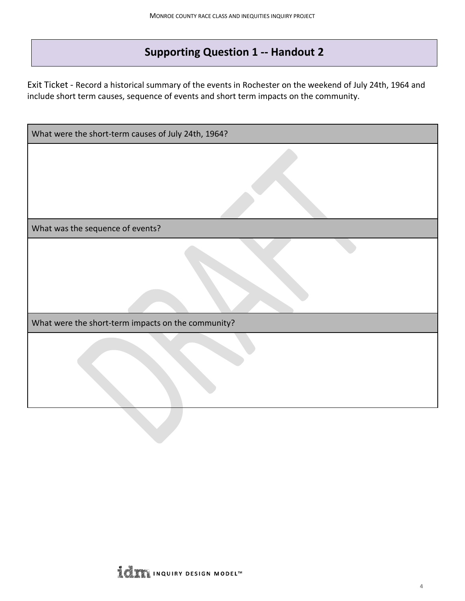# **Supporting Question 1 -- Handout 2**

Exit Ticket - Record a historical summary of the events in Rochester on the weekend of July 24th, 1964 and include short term causes, sequence of events and short term impacts on the community.

| What were the short-term causes of July 24th, 1964?     |  |  |  |
|---------------------------------------------------------|--|--|--|
|                                                         |  |  |  |
| What was the sequence of events?<br>ı                   |  |  |  |
|                                                         |  |  |  |
| What were the short-term impacts on the community?<br>ı |  |  |  |
|                                                         |  |  |  |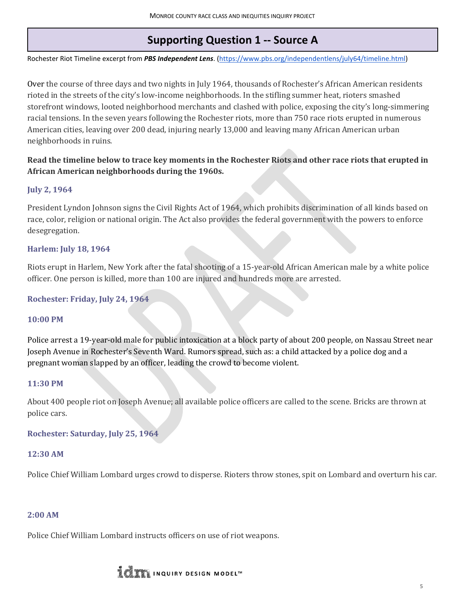# **Supporting Question 1 -- Source A**

<span id="page-4-0"></span>Rochester Riot Timeline excerpt from *PBS Independent Lens*. [\(https://www.pbs.org/independentlens/july64/timeline.html\)](https://www.pbs.org/independentlens/july64/timeline.html)

Over the course of three days and two nights in July 1964, thousands of Rochester's African American residents rioted in the streets of the city's low-income neighborhoods. In the stifling summer heat, rioters smashed storefront windows, looted neighborhood merchants and clashed with police, exposing the city's long-simmering racial tensions. In the seven years following the Rochester riots, more than 750 race riots erupted in numerous American cities, leaving over 200 dead, injuring nearly 13,000 and leaving many African American urban neighborhoods in ruins.

#### **Read the timeline below to trace key moments in the Rochester Riots and other race riots that erupted in African American neighborhoods during the 1960s.**

#### **July 2, 1964**

President Lyndon Johnson signs the Civil Rights Act of 1964, which prohibits discrimination of all kinds based on race, color, religion or national origin. The Act also provides the federal government with the powers to enforce desegregation.

#### **Harlem: July 18, 1964**

Riots erupt in Harlem, New York after the fatal shooting of a 15-year-old African American male by a white police officer. One person is killed, more than 100 are injured and hundreds more are arrested.

#### **Rochester: Friday, July 24, 1964**

#### **10:00 PM**

Police arrest a 19-year-old male for public intoxication at a block party of about 200 people, on Nassau Street near Joseph Avenue in Rochester's Seventh Ward. Rumors spread, such as: a child attacked by a police dog and a pregnant woman slapped by an officer, leading the crowd to become violent.

#### **11:30 PM**

About 400 people riot on Joseph Avenue; all available police officers are called to the scene. Bricks are thrown at police cars.

**Rochester: Saturday, July 25, 1964**

#### **12:30 AM**

Police Chief William Lombard urges crowd to disperse. Rioters throw stones, spit on Lombard and overturn his car.

#### **2:00 AM**

Police Chief William Lombard instructs officers on use of riot weapons.

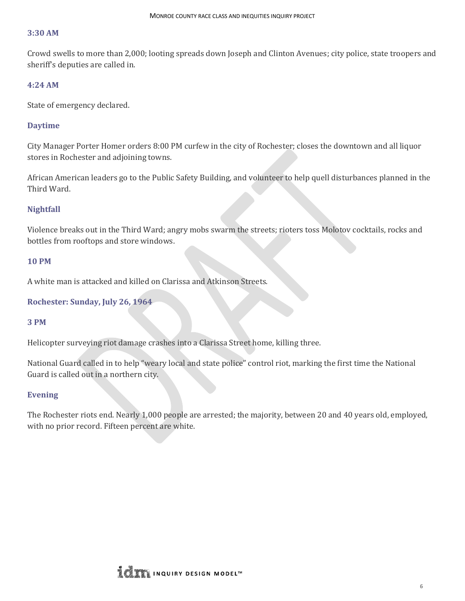#### **3:30 AM**

Crowd swells to more than 2,000; looting spreads down Joseph and Clinton Avenues; city police, state troopers and sheriff's deputies are called in.

#### **4:24 AM**

State of emergency declared.

#### **Daytime**

City Manager Porter Homer orders 8:00 PM curfew in the city of Rochester; closes the downtown and all liquor stores in Rochester and adjoining towns.

African American leaders go to the Public Safety Building, and volunteer to help quell disturbances planned in the Third Ward.

#### **Nightfall**

Violence breaks out in the Third Ward; angry mobs swarm the streets; rioters toss Molotov cocktails, rocks and bottles from rooftops and store windows.

#### **10 PM**

A white man is attacked and killed on Clarissa and Atkinson Streets.

#### **Rochester: Sunday, July 26, 1964**

#### **3 PM**

Helicopter surveying riot damage crashes into a Clarissa Street home, killing three.

National Guard called in to help "weary local and state police" control riot, marking the first time the National Guard is called out in a northern city.

#### **Evening**

The Rochester riots end. Nearly 1,000 people are arrested; the majority, between 20 and 40 years old, employed, with no prior record. Fifteen percent are white.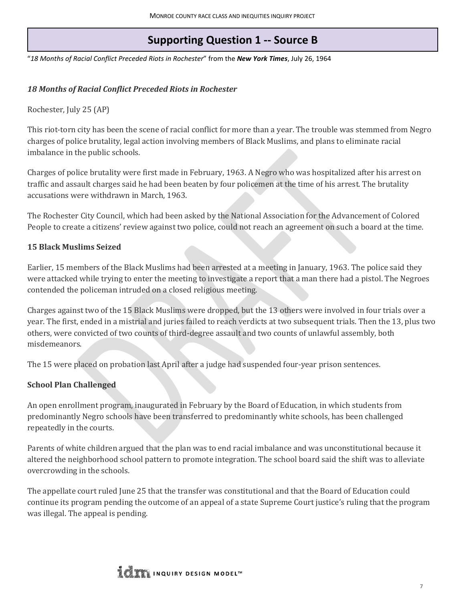## **Supporting Question 1 -- Source B**

<span id="page-6-0"></span>"*18 Months of Racial Conflict Preceded Riots in Rochester*" from the *New York Times*, July 26, 1964

#### *18 Months of Racial Conflict Preceded Riots in Rochester*

Rochester, July 25 (AP)

This riot-torn city has been the scene of racial conflict for more than a year. The trouble was stemmed from Negro charges of police brutality, legal action involving members of Black Muslims, and plans to eliminate racial imbalance in the public schools.

Charges of police brutality were first made in February, 1963. A Negro who was hospitalized after his arrest on traffic and assault charges said he had been beaten by four policemen at the time of his arrest. The brutality accusations were withdrawn in March, 1963.

The Rochester City Council, which had been asked by the National Association for the Advancement of Colored People to create a citizens' review against two police, could not reach an agreement on such a board at the time.

#### **15 Black Muslims Seized**

Earlier, 15 members of the Black Muslims had been arrested at a meeting in January, 1963. The police said they were attacked while trying to enter the meeting to investigate a report that a man there had a pistol. The Negroes contended the policeman intruded on a closed religious meeting.

Charges against two of the 15 Black Muslims were dropped, but the 13 others were involved in four trials over a year. The first, ended in a mistrial and juries failed to reach verdicts at two subsequent trials. Then the 13, plus two others, were convicted of two counts of third-degree assault and two counts of unlawful assembly, both misdemeanors.

The 15 were placed on probation last April after a judge had suspended four-year prison sentences.

#### **School Plan Challenged**

An open enrollment program, inaugurated in February by the Board of Education, in which students from predominantly Negro schools have been transferred to predominantly white schools, has been challenged repeatedly in the courts.

Parents of white children argued that the plan was to end racial imbalance and was unconstitutional because it altered the neighborhood school pattern to promote integration. The school board said the shift was to alleviate overcrowding in the schools.

The appellate court ruled June 25 that the transfer was constitutional and that the Board of Education could continue its program pending the outcome of an appeal of a state Supreme Court justice's ruling that the program was illegal. The appeal is pending.

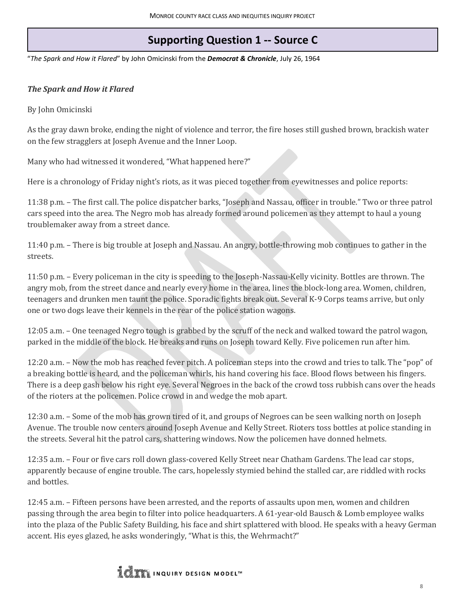# **Supporting Question 1 -- Source C**

<span id="page-7-0"></span>"*The Spark and How it Flared*" by John Omicinski from the *Democrat & Chronicle*, July 26, 1964

#### *The Spark and How it Flared*

By John Omicinski

As the gray dawn broke, ending the night of violence and terror, the fire hoses still gushed brown, brackish water on the few stragglers at Joseph Avenue and the Inner Loop.

Many who had witnessed it wondered, "What happened here?"

Here is a chronology of Friday night's riots, as it was pieced together from eyewitnesses and police reports:

11:38 p.m. – The first call. The police dispatcher barks, "Joseph and Nassau, officer in trouble." Two or three patrol cars speed into the area. The Negro mob has already formed around policemen as they attempt to haul a young troublemaker away from a street dance.

11:40 p.m. – There is big trouble at Joseph and Nassau. An angry, bottle-throwing mob continues to gather in the streets.

11:50 p.m. – Every policeman in the city is speeding to the Joseph-Nassau-Kelly vicinity. Bottles are thrown. The angry mob, from the street dance and nearly every home in the area, lines the block-long area. Women, children, teenagers and drunken men taunt the police. Sporadic fights break out. Several K-9 Corps teams arrive, but only one or two dogs leave their kennels in the rear of the police station wagons.

12:05 a.m. – One teenaged Negro tough is grabbed by the scruff of the neck and walked toward the patrol wagon, parked in the middle of the block. He breaks and runs on Joseph toward Kelly. Five policemen run after him.

12:20 a.m. – Now the mob has reached fever pitch. A policeman steps into the crowd and tries to talk. The "pop" of a breaking bottle is heard, and the policeman whirls, his hand covering his face. Blood flows between his fingers. There is a deep gash below his right eye. Several Negroes in the back of the crowd toss rubbish cans over the heads of the rioters at the policemen. Police crowd in and wedge the mob apart.

12:30 a.m. – Some of the mob has grown tired of it, and groups of Negroes can be seen walking north on Joseph Avenue. The trouble now centers around Joseph Avenue and Kelly Street. Rioters toss bottles at police standing in the streets. Several hit the patrol cars, shattering windows. Now the policemen have donned helmets.

12:35 a.m. – Four or five cars roll down glass-covered Kelly Street near Chatham Gardens. The lead car stops, apparently because of engine trouble. The cars, hopelessly stymied behind the stalled car, are riddled with rocks and bottles.

12:45 a.m. – Fifteen persons have been arrested, and the reports of assaults upon men, women and children passing through the area begin to filter into police headquarters. A 61-year-old Bausch & Lomb employee walks into the plaza of the Public Safety Building, his face and shirt splattered with blood. He speaks with a heavy German accent. His eyes glazed, he asks wonderingly, "What is this, the Wehrmacht?"

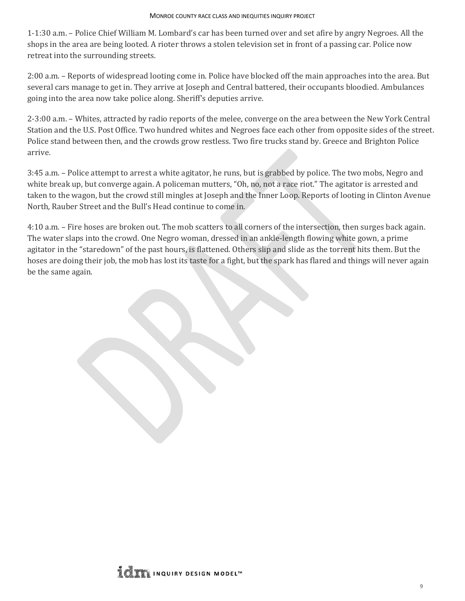1-1:30 a.m. – Police Chief William M. Lombard's car has been turned over and set afire by angry Negroes. All the shops in the area are being looted. A rioter throws a stolen television set in front of a passing car. Police now retreat into the surrounding streets.

2:00 a.m. – Reports of widespread looting come in. Police have blocked off the main approaches into the area. But several cars manage to get in. They arrive at Joseph and Central battered, their occupants bloodied. Ambulances going into the area now take police along. Sheriff's deputies arrive.

2-3:00 a.m. – Whites, attracted by radio reports of the melee, converge on the area between the New York Central Station and the U.S. Post Office. Two hundred whites and Negroes face each other from opposite sides of the street. Police stand between then, and the crowds grow restless. Two fire trucks stand by. Greece and Brighton Police arrive.

3:45 a.m. – Police attempt to arrest a white agitator, he runs, but is grabbed by police. The two mobs, Negro and white break up, but converge again. A policeman mutters, "Oh, no, not a race riot." The agitator is arrested and taken to the wagon, but the crowd still mingles at Joseph and the Inner Loop. Reports of looting in Clinton Avenue North, Rauber Street and the Bull's Head continue to come in.

4:10 a.m. – Fire hoses are broken out. The mob scatters to all corners of the intersection, then surges back again. The water slaps into the crowd. One Negro woman, dressed in an ankle-length flowing white gown, a prime agitator in the "staredown" of the past hours, is flattened. Others slip and slide as the torrent hits them. But the hoses are doing their job, the mob has lost its taste for a fight, but the spark has flared and things will never again be the same again.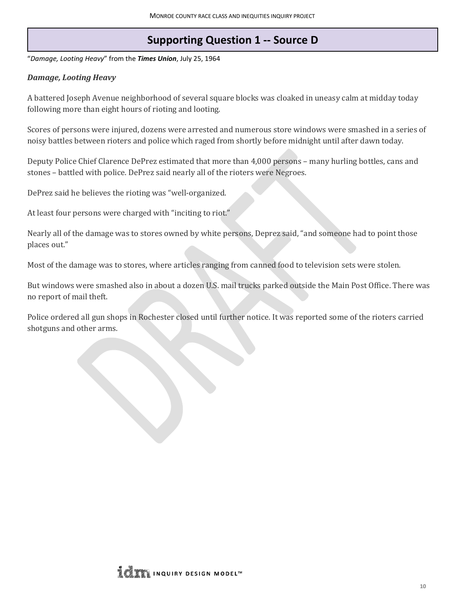## **Supporting Question 1 -- Source D**

<span id="page-9-0"></span>"*Damage, Looting Heavy*" from the *Times Union*, July 25, 1964

#### *Damage, Looting Heavy*

A battered Joseph Avenue neighborhood of several square blocks was cloaked in uneasy calm at midday today following more than eight hours of rioting and looting.

Scores of persons were injured, dozens were arrested and numerous store windows were smashed in a series of noisy battles between rioters and police which raged from shortly before midnight until after dawn today.

Deputy Police Chief Clarence DePrez estimated that more than 4,000 persons – many hurling bottles, cans and stones – battled with police. DePrez said nearly all of the rioters were Negroes.

DePrez said he believes the rioting was "well-organized.

At least four persons were charged with "inciting to riot."

Nearly all of the damage was to stores owned by white persons, Deprez said, "and someone had to point those places out."

Most of the damage was to stores, where articles ranging from canned food to television sets were stolen.

But windows were smashed also in about a dozen U.S. mail trucks parked outside the Main Post Office. There was no report of mail theft.

Police ordered all gun shops in Rochester closed until further notice. It was reported some of the rioters carried shotguns and other arms.

**LOW INQUIRY DESIGN MODEL**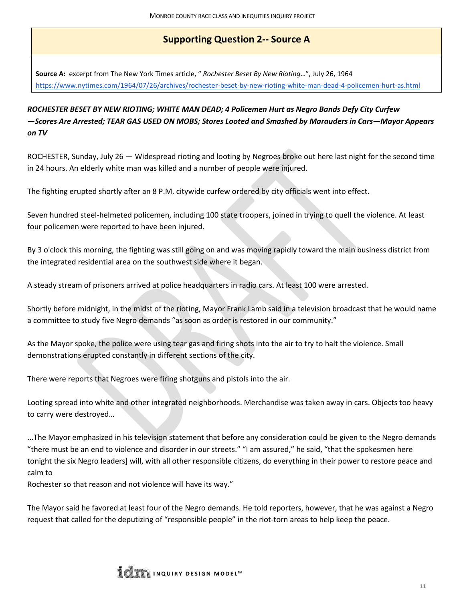## **Supporting Question 2-- Source A**

<span id="page-10-0"></span>**Source A:** excerpt from The New York Times article, " *Rochester Beset By New Rioting*…", July 26, 1964 <https://www.nytimes.com/1964/07/26/archives/rochester-beset-by-new-rioting-white-man-dead-4-policemen-hurt-as.html>

### *ROCHESTER BESET BY NEW RIOTING; WHITE MAN DEAD; 4 Policemen Hurt as Negro Bands Defy City Curfew —Scores Are Arrested; TEAR GAS USED ON MOBS; Stores Looted and Smashed by Marauders in Cars—Mayor Appears on TV*

ROCHESTER, Sunday, July 26 — Widespread rioting and looting by Negroes broke out here last night for the second time in 24 hours. An elderly white man was killed and a number of people were injured.

The fighting erupted shortly after an 8 P.M. citywide curfew ordered by city officials went into effect.

Seven hundred steel-helmeted policemen, including 100 state troopers, joined in trying to quell the violence. At least four policemen were reported to have been injured.

By 3 o'clock this morning, the fighting was still going on and was moving rapidly toward the main business district from the integrated residential area on the southwest side where it began.

A steady stream of prisoners arrived at police headquarters in radio cars. At least 100 were arrested.

Shortly before midnight, in the midst of the rioting, Mayor Frank Lamb said in a television broadcast that he would name a committee to study five Negro demands "as soon as order is restored in our community."

As the Mayor spoke, the police were using tear gas and firing shots into the air to try to halt the violence. Small demonstrations erupted constantly in different sections of the city.

There were reports that Negroes were firing shotguns and pistols into the air.

Looting spread into white and other integrated neighborhoods. Merchandise was taken away in cars. Objects too heavy to carry were destroyed…

...The Mayor emphasized in his television statement that before any consideration could be given to the Negro demands "there must be an end to violence and disorder in our streets." "I am assured," he said, "that the spokesmen here tonight the six Negro leaders] will, with all other responsible citizens, do everything in their power to restore peace and calm to

Rochester so that reason and not violence will have its way."

The Mayor said he favored at least four of the Negro demands. He told reporters, however, that he was against a Negro request that called for the deputizing of "responsible people" in the riot-torn areas to help keep the peace.

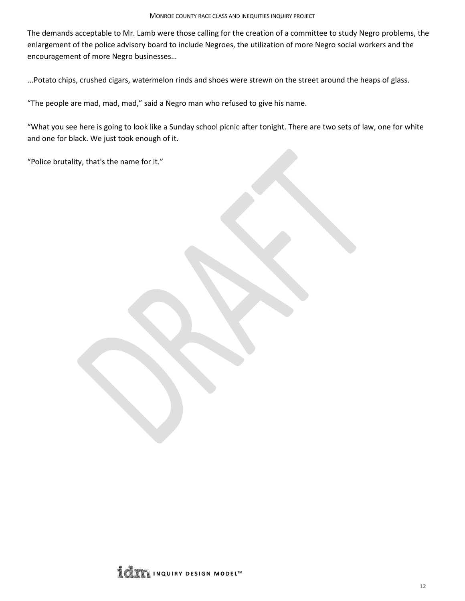The demands acceptable to Mr. Lamb were those calling for the creation of a committee to study Negro problems, the enlargement of the police advisory board to include Negroes, the utilization of more Negro social workers and the encouragement of more Negro businesses…

...Potato chips, crushed cigars, watermelon rinds and shoes were strewn on the street around the heaps of glass.

"The people are mad, mad, mad," said a Negro man who refused to give his name.

"What you see here is going to look like a Sunday school picnic after tonight. There are two sets of law, one for white and one for black. We just took enough of it.

"Police brutality, that's the name for it."

**LOW INQUIRY DESIGN MODEL**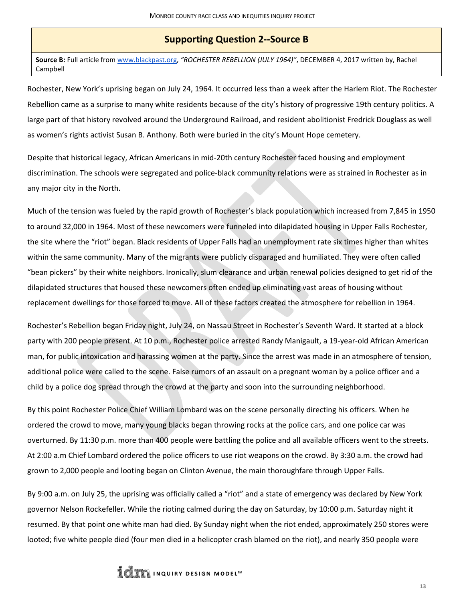#### **Supporting Question 2--Source B**

<span id="page-12-0"></span>**Source B:** Full article fro[m www.blackpast.org,](https://www.blackpast.org/) *"ROCHESTER REBELLION (JULY 1964)"*, DECEMBER 4, 2017 written by, Rachel Campbell

Rochester, New York's uprising began on July 24, 1964. It occurred less than a week after the Harlem Riot. The Rochester Rebellion came as a surprise to many white residents because of the city's history of progressive 19th century politics. A large part of that history revolved around the Underground Railroad, and resident abolitionist Fredrick Douglass as well as women's rights activist Susan B. Anthony. Both were buried in the city's Mount Hope cemetery.

Despite that historical legacy, African Americans in mid-20th century Rochester faced housing and employment discrimination. The schools were segregated and police-black community relations were as strained in Rochester as in any major city in the North.

Much of the tension was fueled by the rapid growth of Rochester's black population which increased from 7,845 in 1950 to around 32,000 in 1964. Most of these newcomers were funneled into dilapidated housing in Upper Falls Rochester, the site where the "riot" began. Black residents of Upper Falls had an unemployment rate six times higher than whites within the same community. Many of the migrants were publicly disparaged and humiliated. They were often called "bean pickers" by their white neighbors. Ironically, slum clearance and urban renewal policies designed to get rid of the dilapidated structures that housed these newcomers often ended up eliminating vast areas of housing without replacement dwellings for those forced to move. All of these factors created the atmosphere for rebellion in 1964.

Rochester's Rebellion began Friday night, July 24, on Nassau Street in Rochester's Seventh Ward. It started at a block party with 200 people present. At 10 p.m., Rochester police arrested Randy Manigault, a 19-year-old African American man, for public intoxication and harassing women at the party. Since the arrest was made in an atmosphere of tension, additional police were called to the scene. False rumors of an assault on a pregnant woman by a police officer and a child by a police dog spread through the crowd at the party and soon into the surrounding neighborhood.

By this point Rochester Police Chief William Lombard was on the scene personally directing his officers. When he ordered the crowd to move, many young blacks began throwing rocks at the police cars, and one police car was overturned. By 11:30 p.m. more than 400 people were battling the police and all available officers went to the streets. At 2:00 a.m Chief Lombard ordered the police officers to use riot weapons on the crowd. By 3:30 a.m. the crowd had grown to 2,000 people and looting began on Clinton Avenue, the main thoroughfare through Upper Falls.

By 9:00 a.m. on July 25, the uprising was officially called a "riot" and a state of emergency was declared by New York governor Nelson Rockefeller. While the rioting calmed during the day on Saturday, by 10:00 p.m. Saturday night it resumed. By that point one white man had died. By Sunday night when the riot ended, approximately 250 stores were looted; five white people died (four men died in a helicopter crash blamed on the riot), and nearly 350 people were